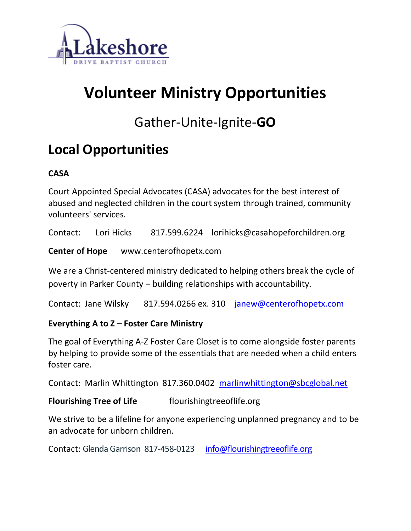

# **Volunteer Ministry Opportunities**

# Gather-Unite-Ignite-**GO**

# **Local Opportunities**

# **CASA**

Court Appointed Special Advocates (CASA) advocates for the best interest of abused and neglected children in the court system through trained, community volunteers' services.

Contact: Lori Hicks 817.599.6224 lorihicks@casahopeforchildren.org

**Center of Hope** www.centerofhopetx.com

We are a Christ-centered ministry dedicated to helping others break the cycle of poverty in Parker County – building relationships with accountability.

Contact: Jane Wilsky 817.594.0266 ex. 310 [janew@centerofhopetx.com](mailto:janew@centerofhopetx.com)

# **Everything A to Z – Foster Care Ministry**

The goal of Everything A-Z Foster Care Closet is to come alongside foster parents by helping to provide some of the essentials that are needed when a child enters foster care.

Contact: Marlin Whittington 817.360.0402 [marlinwhittington@sbcglobal.net](mailto:marlinwhittington@sbcglobal.net)

# **Flourishing Tree of Life** flourishingtreeoflife.org

We strive to be a lifeline for anyone experiencing unplanned pregnancy and to be an advocate for unborn children.

Contact: Glenda Garrison 817-458-0123 [info@flourishingtreeoflife.org](mailto:info@flourishingtreeoflife.org)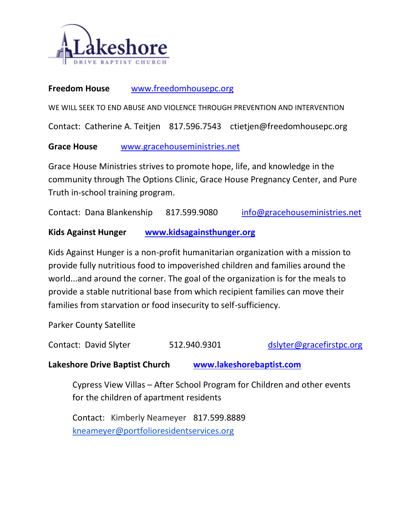

#### **Freedom House** [www.freedomhousepc.org](http://www.freedomhousepc.org/)

WE WILL SEEK TO END ABUSE AND VIOLENCE THROUGH PREVENTION AND INTERVENTION

Contact: Catherine A. Teitjen 817.596.7543 ctietjen@freedomhousepc.org

**Grace House** [www.gracehouseministries.net](http://www.gracehouseministries.net/)

Grace House Ministries strives to promote hope, life, and knowledge in the community through The Options Clinic, Grace House Pregnancy Center, and Pure Truth in-school training program.

Contact: Dana Blankenship 817.599.9080 [info@gracehouseministries.net](mailto:%20info@gracehouseministries.net)

#### **Kids Against Hunger [www.kidsagainsthunger.org](http://www.kidsagainsthunger.org/)**

Kids Against Hunger is a non-profit humanitarian organization with a mission to provide fully nutritious food to impoverished children and families around the world...and around the corner. The goal of the organization is for the meals to provide a stable nutritional base from which recipient families can move their families from starvation or food insecurity to self-sufficiency.

Parker County Satellite

Contact: David Slyter 512.940.9301 [dslyter@gracefirstpc.org](mailto:dslyter@gracefirstpc.org)

**Lakeshore Drive Baptist Church [www.lakeshorebaptist.com](http://www.lakeshorebaptist.com/)**

Cypress View Villas – After School Program for Children and other events for the children of apartment residents

Contact: Kimberly Neameyer 817.599.8889 [kneameyer@portfolioresidentservices.org](mailto:kneameyer@portfolioresidentservices.org)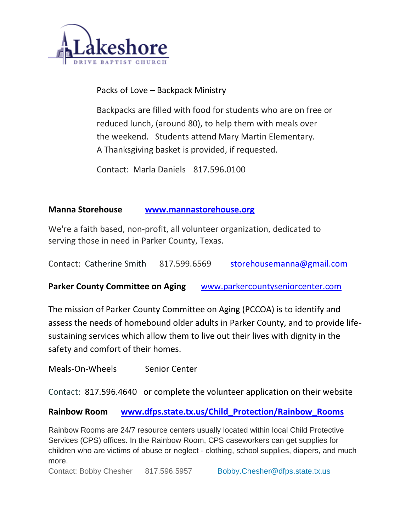

Packs of Love – Backpack Ministry

Backpacks are filled with food for students who are on free or reduced lunch, (around 80), to help them with meals over the weekend. Students attend Mary Martin Elementary. A Thanksgiving basket is provided, if requested.

Contact: Marla Daniels 817.596.0100

#### **Manna Storehouse [www.mannastorehouse.org](http://www.mannastorehouse.org/)**

We're a faith based, non-profit, all volunteer organization, dedicated to serving those in need in Parker County, Texas.

Contact: Catherine Smith 817.599.6569 [storehousemanna@gmail.com](mailto:storehousemanna@gmail.com)

**Parker County Committee on Aging** [www.parkercountyseniorcenter.com](http://www.parkercountyseniorcenter.com/)

The mission of Parker County Committee on Aging (PCCOA) is to identify and assess the needs of homebound older adults in Parker County, and to provide lifesustaining services which allow them to live out their lives with dignity in the safety and comfort of their homes.

Meals-On-Wheels Senior Center

Contact: [817.596.4640](tel:+18175964640) or complete the volunteer application on their website

**Rainbow Room [www.dfps.state.tx.us/Child\\_Protection/Rainbow\\_Rooms](http://www.dfps.state.tx.us/Child_Protection/Rainbow_Rooms)**

Rainbow Rooms are 24/7 resource centers usually located within local Child Protective Services (CPS) offices. In the Rainbow Room, CPS caseworkers can get supplies for children who are victims of abuse or neglect - clothing, school supplies, diapers, and much more.

Contact: Bobby Chesher 817.596.5957 [Bobby.Chesher@dfps.state.tx.us](mailto:Bobby.Chesher@dfps.state.tx.us)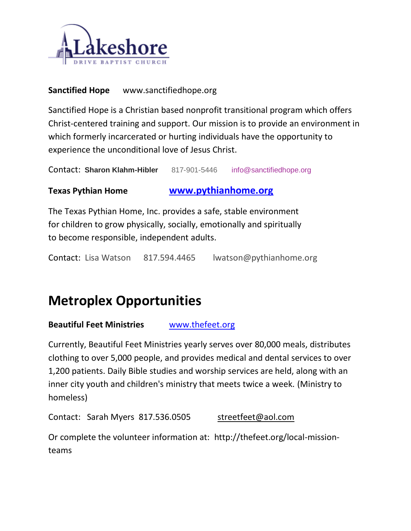

### **Sanctified Hope** www.sanctifiedhope.org

Sanctified Hope is a Christian based nonprofit transitional program which offers Christ-centered training and support. Our mission is to provide an environment in which formerly incarcerated or hurting individuals have the opportunity to experience the unconditional love of Jesus Christ.

Contact: **Sharon Klahm-Hibler** [817-901-5446](http://www.sanctifiedhope.org/817-901-5446) [info@sanctifiedhope.org](mailto:info@sanctifiedhope.org)

# **Texas Pythian Home [www.pythianhome.org](http://www.pythianhome.org/)**

The Texas Pythian Home, Inc. provides a safe, stable environment for children to grow physically, socially, emotionally and spiritually to become responsible, independent adults.

Contact: Lisa Watson 817.594.4465 [lwatson@pythianhome.org](https://www.pythianhome.org/uploads/9-2013_newletter-w.pdf)

# **Metroplex Opportunities**

#### **Beautiful Feet Ministries** [www.thefeet.org](http://www.thefeet.org/)

Currently, Beautiful Feet Ministries yearly serves over 80,000 meals, distributes clothing to over 5,000 people, and provides medical and dental services to over 1,200 patients. Daily Bible studies and worship services are held, along with an inner city youth and children's ministry that meets twice a week. (Ministry to homeless)

Contact: Sarah Myers 817.536.0505 [streetfeet@aol.com](mailto:streetfeet@aol.com)

Or complete the volunteer information at: http://thefeet.org/local-missionteams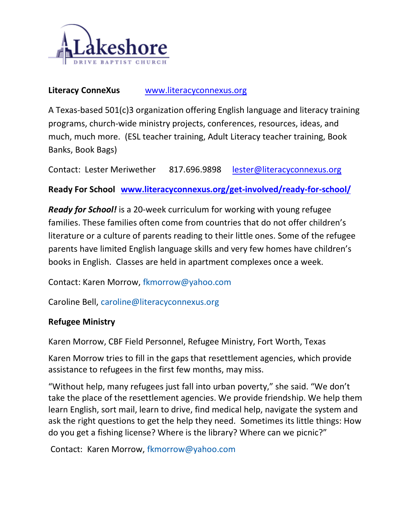

#### Literacy ConneXus **[www.literacyconnexus.org](http://www.literacyconnexus.org/)**

A Texas-based 501(c)3 organization offering English language and literacy training programs, church-wide ministry projects, conferences, resources, ideas, and much, much more. (ESL teacher training, Adult Literacy teacher training, Book Banks, Book Bags)

Contact: Lester Meriwether 817.696.9898 [lester@literacyconnexus.org](mailto:lester@literacyconnexus.org)

**Ready For School [www.literacyconnexus.org/get-involved/ready-for-school/](http://www.literacyconnexus.org/get-involved/ready-for-school/)**

*Ready for School!* is a 20-week curriculum for working with young refugee families. These families often come from countries that do not offer children's literature or a culture of parents reading to their little ones. Some of the refugee parents have limited English language skills and very few homes have children's books in English. Classes are held in apartment complexes once a week.

Contact: Karen Morrow, [fkmorrow@yahoo.com](mailto:fkmorrow@yahoo.com) 

Caroline Bell, [caroline@literacyconnexus.org](mailto:caroline@literacyconnexus.org)

#### **Refugee Ministry**

Karen Morrow, CBF Field Personnel, Refugee Ministry, Fort Worth, Texas

Karen Morrow tries to fill in the gaps that resettlement agencies, which provide assistance to refugees in the first few months, may miss.

"Without help, many refugees just fall into urban poverty," she said. "We don't take the place of the resettlement agencies. We provide friendship. We help them learn English, sort mail, learn to drive, find medical help, navigate the system and ask the right questions to get the help they need. Sometimes its little things: How do you get a fishing license? Where is the library? Where can we picnic?"

Contact: Karen Morrow, [fkmorrow@yahoo.com](mailto:fkmorrow@yahoo.com)